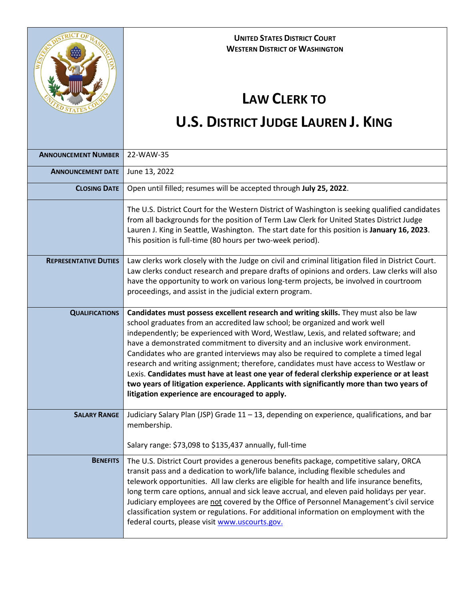

## **UNITED STATES DISTRICT COURT WESTERN DISTRICT OF WASHINGTON**

## **LAW CLERK TO**

## **U.S. DISTRICT JUDGE LAUREN J. KING**

| <b>ANNOUNCEMENT NUMBER</b>   | 22-WAW-35                                                                                                                                                                                                                                                                                                                                                                                                                                                                                                                                                                                                                                                                                                                                                              |
|------------------------------|------------------------------------------------------------------------------------------------------------------------------------------------------------------------------------------------------------------------------------------------------------------------------------------------------------------------------------------------------------------------------------------------------------------------------------------------------------------------------------------------------------------------------------------------------------------------------------------------------------------------------------------------------------------------------------------------------------------------------------------------------------------------|
| <b>ANNOUNCEMENT DATE</b>     | June 13, 2022                                                                                                                                                                                                                                                                                                                                                                                                                                                                                                                                                                                                                                                                                                                                                          |
| <b>CLOSING DATE</b>          | Open until filled; resumes will be accepted through July 25, 2022.                                                                                                                                                                                                                                                                                                                                                                                                                                                                                                                                                                                                                                                                                                     |
|                              | The U.S. District Court for the Western District of Washington is seeking qualified candidates<br>from all backgrounds for the position of Term Law Clerk for United States District Judge<br>Lauren J. King in Seattle, Washington. The start date for this position is January 16, 2023.<br>This position is full-time (80 hours per two-week period).                                                                                                                                                                                                                                                                                                                                                                                                               |
| <b>REPRESENTATIVE DUTIES</b> | Law clerks work closely with the Judge on civil and criminal litigation filed in District Court.<br>Law clerks conduct research and prepare drafts of opinions and orders. Law clerks will also<br>have the opportunity to work on various long-term projects, be involved in courtroom<br>proceedings, and assist in the judicial extern program.                                                                                                                                                                                                                                                                                                                                                                                                                     |
| <b>QUALIFICATIONS</b>        | Candidates must possess excellent research and writing skills. They must also be law<br>school graduates from an accredited law school; be organized and work well<br>independently; be experienced with Word, Westlaw, Lexis, and related software; and<br>have a demonstrated commitment to diversity and an inclusive work environment.<br>Candidates who are granted interviews may also be required to complete a timed legal<br>research and writing assignment; therefore, candidates must have access to Westlaw or<br>Lexis. Candidates must have at least one year of federal clerkship experience or at least<br>two years of litigation experience. Applicants with significantly more than two years of<br>litigation experience are encouraged to apply. |
| <b>SALARY RANGE</b>          | Judiciary Salary Plan (JSP) Grade 11 - 13, depending on experience, qualifications, and bar<br>membership.<br>Salary range: \$73,098 to \$135,437 annually, full-time                                                                                                                                                                                                                                                                                                                                                                                                                                                                                                                                                                                                  |
| <b>BENEFITS</b>              | The U.S. District Court provides a generous benefits package, competitive salary, ORCA<br>transit pass and a dedication to work/life balance, including flexible schedules and<br>telework opportunities. All law clerks are eligible for health and life insurance benefits,<br>long term care options, annual and sick leave accrual, and eleven paid holidays per year.<br>Judiciary employees are not covered by the Office of Personnel Management's civil service<br>classification system or regulations. For additional information on employment with the<br>federal courts, please visit www.uscourts.gov.                                                                                                                                                   |